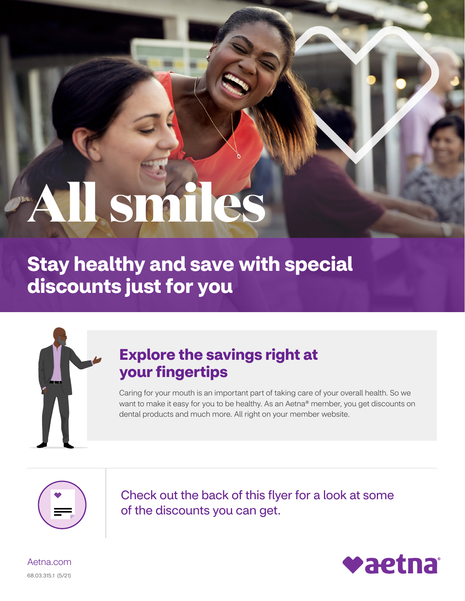# **All smiles**

**Stay healthy and save with special discounts just for you** 



# **Explore the savings right at your fingertips**

Caring for your mouth is an important part of taking care of your overall health. So we want to make it easy for you to be healthy. As an Aetna® member, you get discounts on dental products and much more. All right on your member website.



Check out the back of this flyer for a look at some of the discounts you can get.



[Aetna.com](http://www.Aetna.com) 68.03.315.1 (5/21)